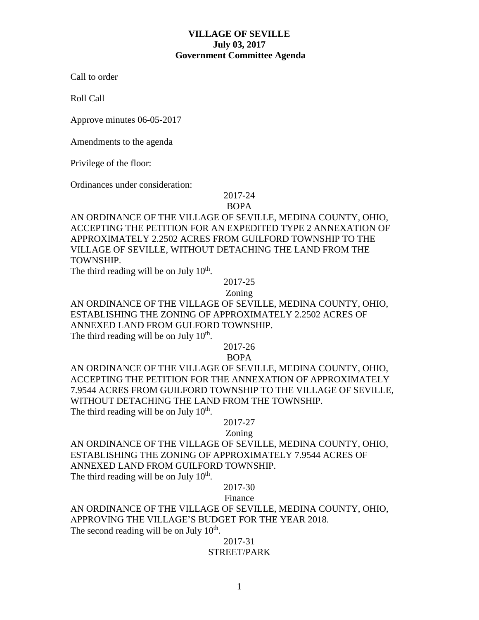## **VILLAGE OF SEVILLE July 03, 2017 Government Committee Agenda**

Call to order

Roll Call

Approve minutes 06-05-2017

Amendments to the agenda

Privilege of the floor:

Ordinances under consideration:

# 2017-24

BOPA

AN ORDINANCE OF THE VILLAGE OF SEVILLE, MEDINA COUNTY, OHIO, ACCEPTING THE PETITION FOR AN EXPEDITED TYPE 2 ANNEXATION OF APPROXIMATELY 2.2502 ACRES FROM GUILFORD TOWNSHIP TO THE VILLAGE OF SEVILLE, WITHOUT DETACHING THE LAND FROM THE TOWNSHIP.

The third reading will be on July  $10<sup>th</sup>$ .

2017-25

Zoning

AN ORDINANCE OF THE VILLAGE OF SEVILLE, MEDINA COUNTY, OHIO, ESTABLISHING THE ZONING OF APPROXIMATELY 2.2502 ACRES OF ANNEXED LAND FROM GULFORD TOWNSHIP. The third reading will be on July  $10<sup>th</sup>$ .

# 2017-26

BOPA

AN ORDINANCE OF THE VILLAGE OF SEVILLE, MEDINA COUNTY, OHIO, ACCEPTING THE PETITION FOR THE ANNEXATION OF APPROXIMATELY 7.9544 ACRES FROM GUILFORD TOWNSHIP TO THE VILLAGE OF SEVILLE, WITHOUT DETACHING THE LAND FROM THE TOWNSHIP. The third reading will be on July  $10<sup>th</sup>$ .

#### 2017-27

Zoning

AN ORDINANCE OF THE VILLAGE OF SEVILLE, MEDINA COUNTY, OHIO, ESTABLISHING THE ZONING OF APPROXIMATELY 7.9544 ACRES OF ANNEXED LAND FROM GUILFORD TOWNSHIP.

The third reading will be on July  $10<sup>th</sup>$ .

#### 2017-30

Finance

AN ORDINANCE OF THE VILLAGE OF SEVILLE, MEDINA COUNTY, OHIO, APPROVING THE VILLAGE'S BUDGET FOR THE YEAR 2018. The second reading will be on July  $10<sup>th</sup>$ .

### 2017-31 STREET/PARK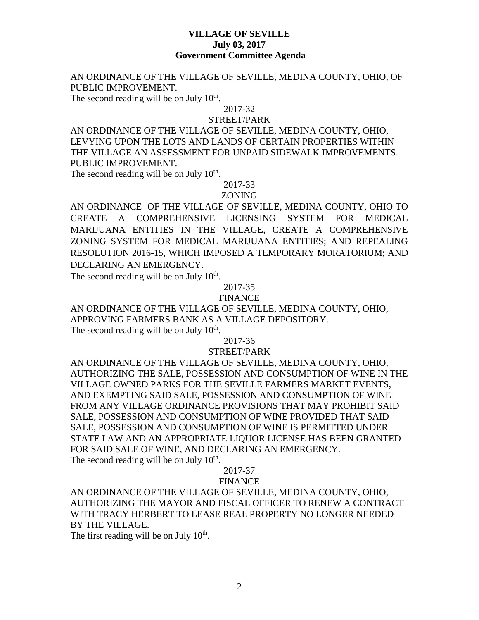### **VILLAGE OF SEVILLE July 03, 2017 Government Committee Agenda**

AN ORDINANCE OF THE VILLAGE OF SEVILLE, MEDINA COUNTY, OHIO, OF PUBLIC IMPROVEMENT.

The second reading will be on July  $10<sup>th</sup>$ .

#### 2017-32

#### STREET/PARK

AN ORDINANCE OF THE VILLAGE OF SEVILLE, MEDINA COUNTY, OHIO, LEVYING UPON THE LOTS AND LANDS OF CERTAIN PROPERTIES WITHIN THE VILLAGE AN ASSESSMENT FOR UNPAID SIDEWALK IMPROVEMENTS. PUBLIC IMPROVEMENT.

The second reading will be on July  $10<sup>th</sup>$ .

# 2017-33

## ZONING

AN ORDINANCE OF THE VILLAGE OF SEVILLE, MEDINA COUNTY, OHIO TO CREATE A COMPREHENSIVE LICENSING SYSTEM FOR MEDICAL MARIJUANA ENTITIES IN THE VILLAGE, CREATE A COMPREHENSIVE ZONING SYSTEM FOR MEDICAL MARIJUANA ENTITIES; AND REPEALING RESOLUTION 2016-15, WHICH IMPOSED A TEMPORARY MORATORIUM; AND DECLARING AN EMERGENCY.

The second reading will be on July  $10<sup>th</sup>$ .

# 2017-35

#### FINANCE

AN ORDINANCE OF THE VILLAGE OF SEVILLE, MEDINA COUNTY, OHIO, APPROVING FARMERS BANK AS A VILLAGE DEPOSITORY. The second reading will be on July  $10<sup>th</sup>$ .

#### 2017-36

#### STREET/PARK

AN ORDINANCE OF THE VILLAGE OF SEVILLE, MEDINA COUNTY, OHIO, AUTHORIZING THE SALE, POSSESSION AND CONSUMPTION OF WINE IN THE VILLAGE OWNED PARKS FOR THE SEVILLE FARMERS MARKET EVENTS, AND EXEMPTING SAID SALE, POSSESSION AND CONSUMPTION OF WINE FROM ANY VILLAGE ORDINANCE PROVISIONS THAT MAY PROHIBIT SAID SALE, POSSESSION AND CONSUMPTION OF WINE PROVIDED THAT SAID SALE, POSSESSION AND CONSUMPTION OF WINE IS PERMITTED UNDER STATE LAW AND AN APPROPRIATE LIQUOR LICENSE HAS BEEN GRANTED FOR SAID SALE OF WINE, AND DECLARING AN EMERGENCY. The second reading will be on July  $10<sup>th</sup>$ .

#### 2017-37

#### FINANCE

AN ORDINANCE OF THE VILLAGE OF SEVILLE, MEDINA COUNTY, OHIO, AUTHORIZING THE MAYOR AND FISCAL OFFICER TO RENEW A CONTRACT WITH TRACY HERBERT TO LEASE REAL PROPERTY NO LONGER NEEDED BY THE VILLAGE.

The first reading will be on July  $10<sup>th</sup>$ .